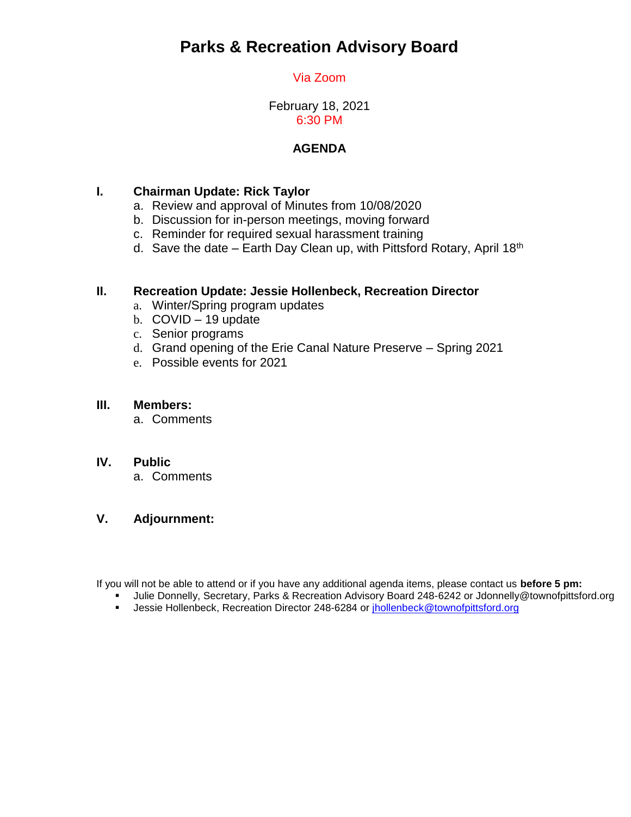# **Parks & Recreation Advisory Board**

# Via Zoom

February 18, 2021 6:30 PM

## **AGENDA**

## **I. Chairman Update: Rick Taylor**

- a. Review and approval of Minutes from 10/08/2020
- b. Discussion for in-person meetings, moving forward
- c. Reminder for required sexual harassment training
- d. Save the date Earth Day Clean up, with Pittsford Rotary, April 18<sup>th</sup>

#### **II. Recreation Update: Jessie Hollenbeck, Recreation Director**

- a. Winter/Spring program updates
- b. COVID 19 update
- c. Senior programs
- d. Grand opening of the Erie Canal Nature Preserve Spring 2021
- e. Possible events for 2021

#### **III. Members:**

a. Comments

#### **IV. Public**

a. Comments

### **V. Adjournment:**

If you will not be able to attend or if you have any additional agenda items, please contact us **before 5 pm:** 

- Julie Donnelly, Secretary, Parks & Recreation Advisory Board 248-6242 or Jdonnelly@townofpittsford.org
- Jessie Hollenbeck, Recreation Director 248-6284 or [jhollenbeck@townofpittsford.org](mailto:jhollenbeck@townofpittsford.org)